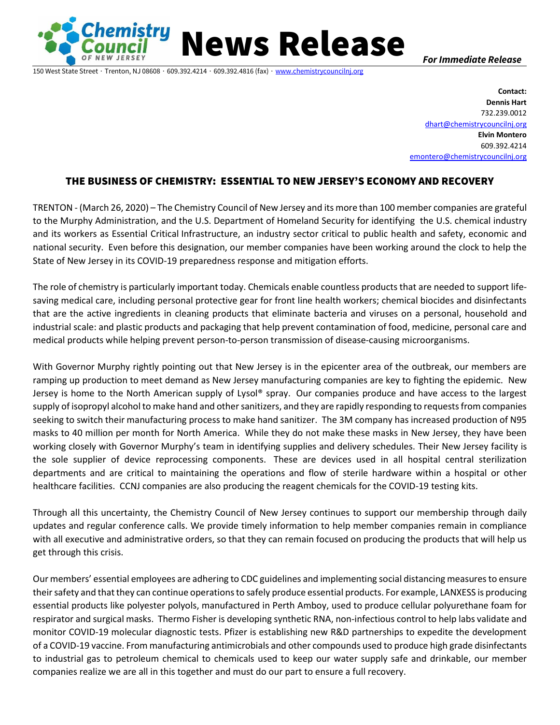

150 West State Street ∙ Trenton, NJ 08608 ∙ 609.392.4214 ∙ 609.392.4816 (fax) ∙ [www.chemistrycouncilnj.org](http://www.chemistrycouncilnj.org/)

News Release *For Immediate Release*

**Contact: Dennis Hart** 732.239.0012 [dhart@chemistrycouncilnj.org](mailto:dhart@chemistrycouncilnj.org) **Elvin Montero** 609.392.4214 [emontero@chemistrycouncilnj.org](mailto:emontero@chemistrycouncilnj.org)

## THE BUSINESS OF CHEMISTRY: ESSENTIAL TO NEW JERSEY'S ECONOMY AND RECOVERY

TRENTON - (March 26, 2020) – The Chemistry Council of New Jersey and its more than 100 member companies are grateful to the Murphy Administration, and the U.S. Department of Homeland Security for identifying the U.S. chemical industry and its workers as Essential Critical Infrastructure, an industry sector critical to public health and safety, economic and national security. Even before this designation, our member companies have been working around the clock to help the State of New Jersey in its COVID-19 preparedness response and mitigation efforts.

The role of chemistry is particularly important today. Chemicals enable countless products that are needed to support lifesaving medical care, including personal protective gear for front line health workers; chemical biocides and disinfectants that are the active ingredients in cleaning products that eliminate bacteria and viruses on a personal, household and industrial scale: and plastic products and packaging that help prevent contamination of food, medicine, personal care and medical products while helping prevent person-to-person transmission of disease-causing microorganisms.

With Governor Murphy rightly pointing out that New Jersey is in the epicenter area of the outbreak, our members are ramping up production to meet demand as New Jersey manufacturing companies are key to fighting the epidemic. New Jersey is home to the North American supply of Lysol<sup>®</sup> spray. Our companies produce and have access to the largest supply of isopropyl alcohol to make hand and other sanitizers, and they are rapidly responding to requests from companies seeking to switch their manufacturing process to make hand sanitizer. The 3M company has increased production of N95 masks to 40 million per month for North America. While they do not make these masks in New Jersey, they have been working closely with Governor Murphy's team in identifying supplies and delivery schedules. Their New Jersey facility is the sole supplier of device reprocessing components. These are devices used in all hospital central sterilization departments and are critical to maintaining the operations and flow of sterile hardware within a hospital or other healthcare facilities. CCNJ companies are also producing the reagent chemicals for the COVID-19 testing kits.

Through all this uncertainty, the Chemistry Council of New Jersey continues to support our membership through daily updates and regular conference calls. We provide timely information to help member companies remain in compliance with all executive and administrative orders, so that they can remain focused on producing the products that will help us get through this crisis.

Our members' essential employees are adhering to CDC guidelines and implementing social distancing measures to ensure their safety and that they can continue operations to safely produce essential products. For example, LANXESS is producing essential products like polyester polyols, manufactured in Perth Amboy, used to produce cellular polyurethane foam for respirator and surgical masks. Thermo Fisher is developing synthetic RNA, non-infectious control to help labs validate and monitor COVID-19 molecular diagnostic tests. Pfizer is establishing new R&D partnerships to expedite the development of a COVID-19 vaccine. From manufacturing antimicrobials and other compounds used to produce high grade disinfectants to industrial gas to petroleum chemical to chemicals used to keep our water supply safe and drinkable, our member companies realize we are all in this together and must do our part to ensure a full recovery.